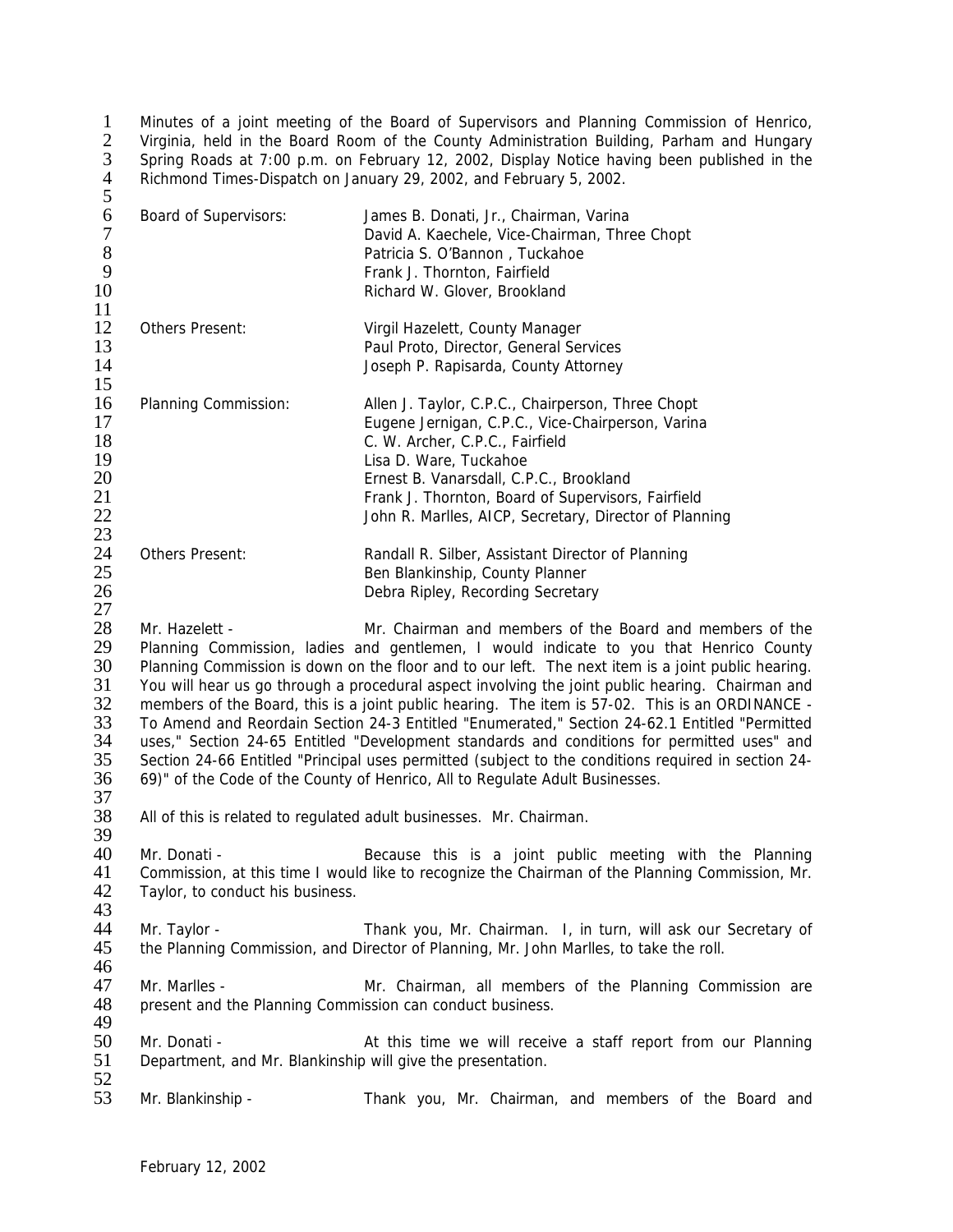1 Minutes of a joint meeting of the Board of Supervisors and Planning Commission of Henrico,<br>2 Virginia, held in the Board Room of the County Administration Building, Parham and Hungary Virginia, held in the Board Room of the County Administration Building, Parham and Hungary 3 Spring Roads at 7:00 p.m. on February 12, 2002, Display Notice having been published in the 4 Richmond Times-Dispatch on January 29, 2002, and February 5, 2002.

| 5                                            |                                                                                                                                                                                                                                                                                                                                                                                                                                                                                                                                                                                                                                                                                                                                                                                          |                                                                                                                                                                                                                                                                                                                                |
|----------------------------------------------|------------------------------------------------------------------------------------------------------------------------------------------------------------------------------------------------------------------------------------------------------------------------------------------------------------------------------------------------------------------------------------------------------------------------------------------------------------------------------------------------------------------------------------------------------------------------------------------------------------------------------------------------------------------------------------------------------------------------------------------------------------------------------------------|--------------------------------------------------------------------------------------------------------------------------------------------------------------------------------------------------------------------------------------------------------------------------------------------------------------------------------|
| 6<br>$\boldsymbol{7}$<br>$\,8\,$<br>9<br>10  | Board of Supervisors:                                                                                                                                                                                                                                                                                                                                                                                                                                                                                                                                                                                                                                                                                                                                                                    | James B. Donati, Jr., Chairman, Varina<br>David A. Kaechele, Vice-Chairman, Three Chopt<br>Patricia S. O'Bannon, Tuckahoe<br>Frank J. Thornton, Fairfield<br>Richard W. Glover, Brookland                                                                                                                                      |
| 11<br>12<br>13<br>14<br>15                   | Others Present:                                                                                                                                                                                                                                                                                                                                                                                                                                                                                                                                                                                                                                                                                                                                                                          | Virgil Hazelett, County Manager<br>Paul Proto, Director, General Services<br>Joseph P. Rapisarda, County Attorney                                                                                                                                                                                                              |
| 16<br>17<br>18<br>19<br>20<br>21<br>22<br>23 | Planning Commission:                                                                                                                                                                                                                                                                                                                                                                                                                                                                                                                                                                                                                                                                                                                                                                     | Allen J. Taylor, C.P.C., Chairperson, Three Chopt<br>Eugene Jernigan, C.P.C., Vice-Chairperson, Varina<br>C. W. Archer, C.P.C., Fairfield<br>Lisa D. Ware, Tuckahoe<br>Ernest B. Vanarsdall, C.P.C., Brookland<br>Frank J. Thornton, Board of Supervisors, Fairfield<br>John R. Marlles, AICP, Secretary, Director of Planning |
| 24<br>25<br>26<br>27                         | <b>Others Present:</b>                                                                                                                                                                                                                                                                                                                                                                                                                                                                                                                                                                                                                                                                                                                                                                   | Randall R. Silber, Assistant Director of Planning<br>Ben Blankinship, County Planner<br>Debra Ripley, Recording Secretary                                                                                                                                                                                                      |
| 28<br>29<br>30<br>31<br>32<br>33<br>34<br>35 | Mr. Hazelett -<br>Mr. Chairman and members of the Board and members of the<br>Planning Commission, ladies and gentlemen, I would indicate to you that Henrico County<br>Planning Commission is down on the floor and to our left. The next item is a joint public hearing.<br>You will hear us go through a procedural aspect involving the joint public hearing. Chairman and<br>members of the Board, this is a joint public hearing. The item is 57-02. This is an ORDINANCE -<br>To Amend and Reordain Section 24-3 Entitled "Enumerated," Section 24-62.1 Entitled "Permitted<br>uses," Section 24-65 Entitled "Development standards and conditions for permitted uses" and<br>Section 24-66 Entitled "Principal uses permitted (subject to the conditions required in section 24- |                                                                                                                                                                                                                                                                                                                                |

- 36 69)" of the Code of the County of Henrico, All to Regulate Adult Businesses.
- $\frac{37}{38}$ All of this is related to regulated adult businesses. Mr. Chairman.
- 39<br>40 40 Mr. Donati - Secause this is a joint public meeting with the Planning 41 Commission, at this time I would like to recognize the Chairman of the Planning Commission, Mr. 41 Commission, at this time I would like to recognize the Chairman of the Planning Commission, Mr.<br>42 Taylor, to conduct his business. Taylor, to conduct his business.
- 43 44 Mr. Taylor - Thank you, Mr. Chairman. I, in turn, will ask our Secretary of its the Planning Commission, and Director of Planning, Mr. John Marlles, to take the roll. the Planning Commission, and Director of Planning, Mr. John Marlles, to take the roll.
- 46<br>47 47 Mr. Marlles - Mr. Marles - Mr. Chairman, all members of the Planning Commission are 48 present and the Planning Commission can conduct business. present and the Planning Commission can conduct business.
- 49<br>50 50 Mr. Donati - At this time we will receive a staff report from our Planning<br>51 Department, and Mr. Blankinship will give the presentation. Department, and Mr. Blankinship will give the presentation.
- 52<br>53 Mr. Blankinship - Thank you, Mr. Chairman, and members of the Board and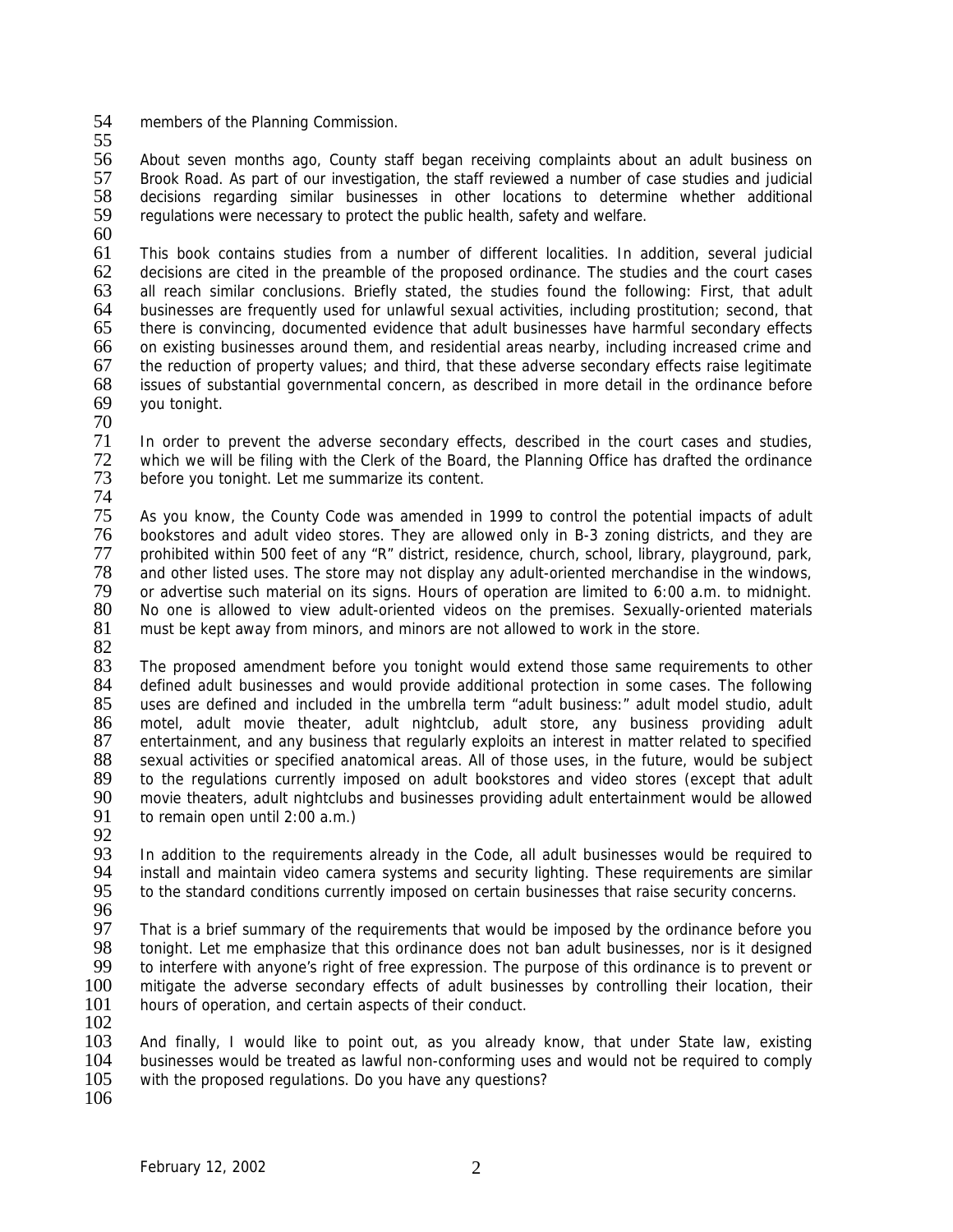- 54 members of the Planning Commission.
- 55

56 About seven months ago, County staff began receiving complaints about an adult business on 57 Brook Road. As part of our investigation, the staff reviewed a number of case studies and judicial<br>58 decisions regarding similar businesses in other locations to determine whether additional 58 decisions regarding similar businesses in other locations to determine whether additional 59 requilations were necessary to protect the public health, safety and welfare. regulations were necessary to protect the public health, safety and welfare.

 $\frac{60}{61}$ 

This book contains studies from a number of different localities. In addition, several judicial 62 decisions are cited in the preamble of the proposed ordinance. The studies and the court cases<br>63 all reach similar conclusions. Briefly stated, the studies found the following: First, that adult 63 all reach similar conclusions. Briefly stated, the studies found the following: First, that adult 64 businesses are frequently used for unlawful sexual activities, including prostitution: second, that 64 businesses are frequently used for unlawful sexual activities, including prostitution; second, that there is convincing, documented evidence that adult businesses have harmful secondary effects 66 on existing businesses around them, and residential areas nearby, including increased crime and 67 the reduction of property values; and third, that these adverse secondary effects raise legitimate<br>68 issues of substantial governmental concern, as described in more detail in the ordinance before issues of substantial governmental concern, as described in more detail in the ordinance before 69 you tonight.

70

71 In order to prevent the adverse secondary effects, described in the court cases and studies,<br>72 which we will be filing with the Clerk of the Board, the Planning Office has drafted the ordinance 72 which we will be filing with the Clerk of the Board, the Planning Office has drafted the ordinance<br>73 before you tonight. Let me summarize its content. before you tonight. Let me summarize its content.

74<br>75

As you know, the County Code was amended in 1999 to control the potential impacts of adult 76 bookstores and adult video stores. They are allowed only in B-3 zoning districts, and they are 77 prohibited within 500 feet of any "R" district, residence, church, school, library, playground, park, 78 and other listed uses. The store may not display any adult-oriented merchandise in the windows,<br>79 or advertise such material on its signs. Hours of operation are limited to 6:00 a.m. to midnight. 79 or advertise such material on its signs. Hours of operation are limited to 6:00 a.m. to midnight. No one is allowed to view adult-oriented videos on the premises. Sexually-oriented materials 81 must be kept away from minors, and minors are not allowed to work in the store.

82<br>83

83 The proposed amendment before you tonight would extend those same requirements to other<br>84 defined adult businesses and would provide additional protection in some cases. The following 84 defined adult businesses and would provide additional protection in some cases. The following<br>85 uses are defined and included in the umbrella term "adult business:" adult model studio, adult 85 uses are defined and included in the umbrella term "adult business:" adult model studio, adult 86 motel, adult movie theater, adult nightclub, adult store, any business providing adult 87 entertainment, and any business that regularly exploits an interest in matter related to specified entertainment, and any business that regularly exploits an interest in matter related to specified 88 sexual activities or specified anatomical areas. All of those uses, in the future, would be subject 89 to the requiations currently imposed on adult bookstores and video stores (except that adult to the regulations currently imposed on adult bookstores and video stores (except that adult 90 movie theaters, adult nightclubs and businesses providing adult entertainment would be allowed<br>91 to remain open until 2:00 a.m.) to remain open until  $2:00$  a.m.)

92<br>93

93 In addition to the requirements already in the Code, all adult businesses would be required to<br>94 install and maintain video camera systems and security lighting. These requirements are similar 94 install and maintain video camera systems and security lighting. These requirements are similar<br>95 to the standard conditions currently imposed on certain businesses that raise security concerns. to the standard conditions currently imposed on certain businesses that raise security concerns.

96<br>97

97 That is a brief summary of the requirements that would be imposed by the ordinance before you<br>98 tonight. Let me emphasize that this ordinance does not ban adult businesses, nor is it designed 98 tonight. Let me emphasize that this ordinance does not ban adult businesses, nor is it designed<br>99 to interfere with anyone's right of free expression. The purpose of this ordinance is to prevent or 99 to interfere with anyone's right of free expression. The purpose of this ordinance is to prevent or 100 mitioate the adverse secondary effects of adult businesses by controlling their location, their mitigate the adverse secondary effects of adult businesses by controlling their location, their 101 hours of operation, and certain aspects of their conduct.

 $\frac{102}{103}$ 

103 And finally, I would like to point out, as you already know, that under State law, existing 104 businesses would be treated as lawful non-conforming uses and would not be required to comply 104 businesses would be treated as lawful non-conforming uses and would not be required to comply 105 with the proposed requiations. Do you have any questions? with the proposed regulations. Do you have any questions?

106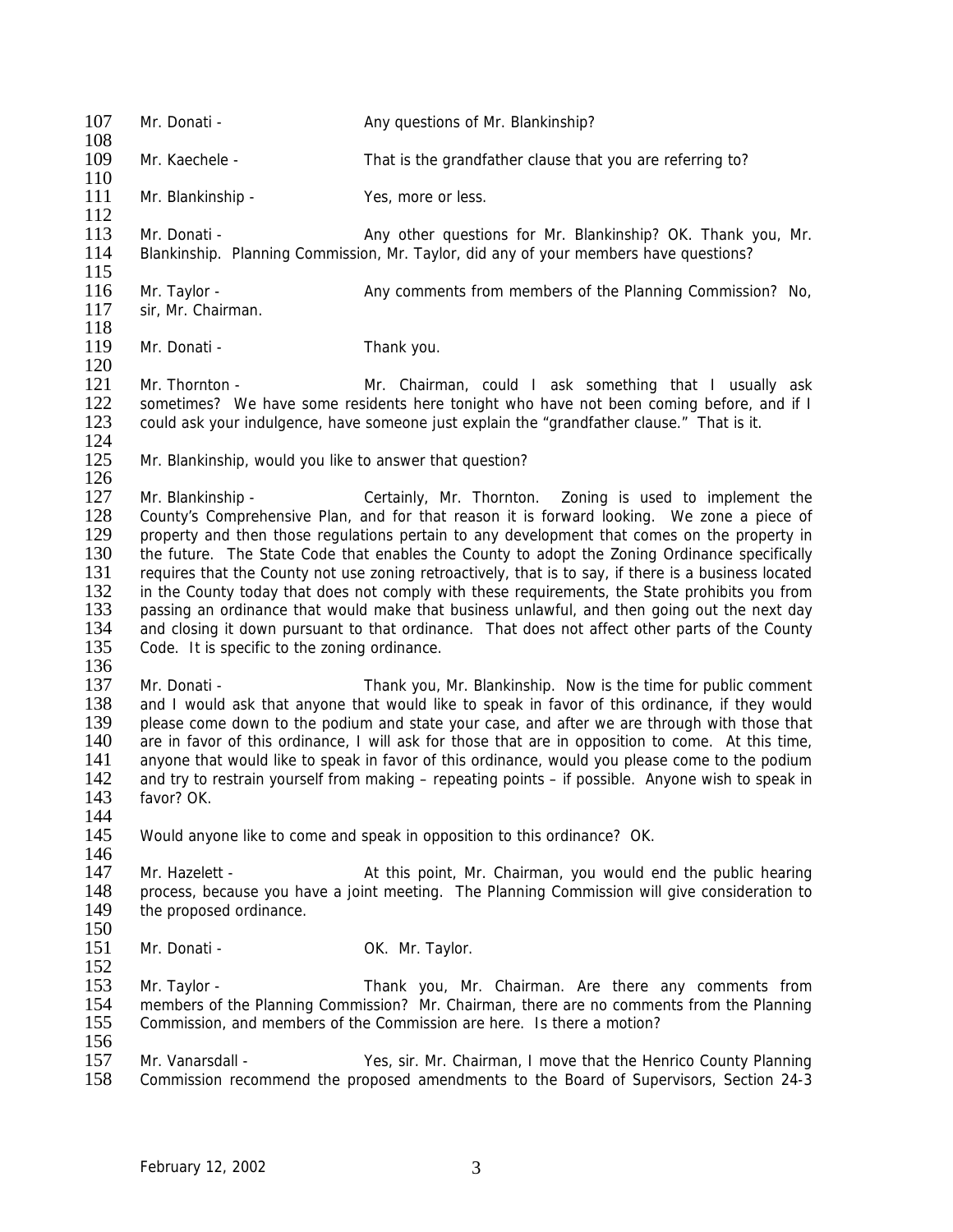107 Mr. Donati - Any questions of Mr. Blankinship?  $\frac{108}{109}$ Mr. Kaechele - That is the grandfather clause that you are referring to?  $\frac{110}{111}$ Mr. Blankinship - Yes, more or less.  $\frac{112}{113}$ 113 Mr. Donati - **Any other questions for Mr. Blankinship**? OK. Thank you, Mr. Any other questions for Mr. Blankinship? OK. Thank you, Mr. 114 Blankinship. Planning Commission. Mr. Taylor. did any of your members have ques Blankinship. Planning Commission, Mr. Taylor, did any of your members have questions?  $\frac{115}{116}$ 116 Mr. Taylor - Any comments from members of the Planning Commission? No, 117 sir. Mr. Chairman. sir, Mr. Chairman. 118 119 Mr. Donati - Thank you.  $\frac{120}{121}$ 121 Mr. Thornton - Mr. Chairman, could I ask something that I usually ask 122 sometimes? We have some residents here tonight who have not been coming before, and if I 122 sometimes? We have some residents here tonight who have not been coming before, and if I<br>123 could ask vour indulgence, have someone just explain the "grandfather clause." That is it. could ask your indulgence, have someone just explain the "grandfather clause." That is it.  $\frac{124}{125}$ Mr. Blankinship, would you like to answer that question?  $\frac{126}{127}$ 127 Mr. Blankinship - Certainly, Mr. Thornton. Zoning is used to implement the 128 County's Comprehensive Plan, and for that reason it is forward looking. We zone a piece of 128 County's Comprehensive Plan, and for that reason it is forward looking. We zone a piece of 129 property and then those regulations pertain to any development that comes on the property in 130 the future. The State Code that enables the County to adopt the Zoning Ordinance specifically 131 requires that the County not use zoning retroactively, that is to say, if there is a business located<br>132 in the County today that does not comply with these requirements, the State prohibits you from in the County today that does not comply with these requirements, the State prohibits you from 133 passing an ordinance that would make that business unlawful, and then going out the next day 134 and closing it down pursuant to that ordinance. That does not affect other parts of the County<br>135 Code. It is specific to the zoning ordinance. Code. It is specific to the zoning ordinance.  $\frac{136}{137}$ 137 Mr. Donati - Thank you, Mr. Blankinship. Now is the time for public comment 138 and I would ask that anyone that would like to speak in favor of this ordinance, if they would 138 and I would ask that anyone that would like to speak in favor of this ordinance, if they would<br>139 blease come down to the podium and state your case, and after we are through with those that 139 please come down to the podium and state your case, and after we are through with those that 140 are in favor of this ordinance. I will ask for those that are in opposition to come. At this time. are in favor of this ordinance, I will ask for those that are in opposition to come. At this time, 141 anyone that would like to speak in favor of this ordinance, would you please come to the podium<br>142 and try to restrain vourself from making – repeating points – if possible. Anyone wish to speak in and try to restrain yourself from making – repeating points – if possible. Anyone wish to speak in 143 favor? OK. 144<br>145 Would anyone like to come and speak in opposition to this ordinance? OK.  $\frac{146}{147}$ 147 Mr. Hazelett - At this point, Mr. Chairman, you would end the public hearing<br>148 Derecess, because you have a joint meeting. The Planning Commission will give consideration to 148 process, because you have a joint meeting. The Planning Commission will give consideration to 149 the proposed ordinance. the proposed ordinance. 150 151 Mr. Donati - OK. Mr. Taylor.  $\frac{152}{153}$ Mr. Taylor - Thank you, Mr. Chairman. Are there any comments from 154 members of the Planning Commission? Mr. Chairman, there are no comments from the Planning<br>155 Commission, and members of the Commission are here. Is there a motion? Commission, and members of the Commission are here. Is there a motion? 156<br>157 157 Mr. Vanarsdall - Yes, sir. Mr. Chairman, I move that the Henrico County Planning<br>158 Commission recommend the proposed amendments to the Board of Supervisors. Section 24-3 158 Commission recommend the proposed amendments to the Board of Supervisors, Section 24-3